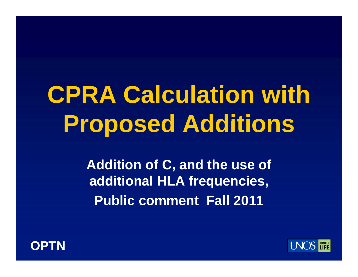# **CPRA C l l ti ith a lcu ation with Proposed Additions**

**Addition of C, and the use of additional HLA frequencies, Public comment Fall 2011**



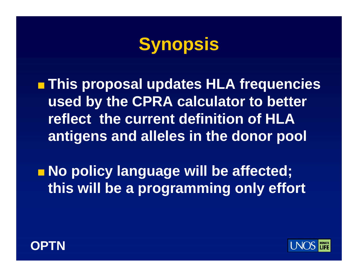### **Synopsis**

**This proposal updates HLA frequencies proposal used by the CPRA calculator to better reflect the current definition of HLA antigens and alleles in the donor pool**

■ **No policy language will be affected; this will be <sup>a</sup> programming only effort**



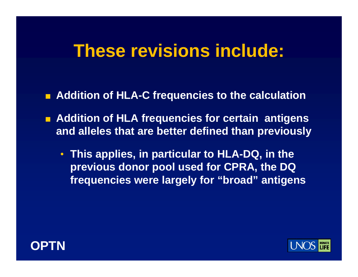#### **These revisions include:**

- $\blacksquare$  **Addition of HLA-C frequencies to the calculation**
- **Addition of HLA frequencies for certain antigens and alleles that are better defined than previously**
	- **This applies in particular to HLA applies, -DQ in the DQ, previous donor pool used for CPRA, the DQ frequencies were largely for "broad" antigens**



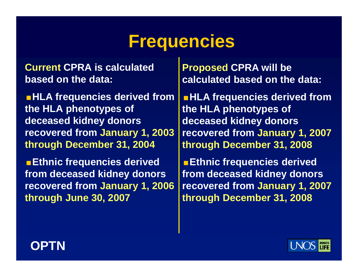### **Frequencies**

**Current CPRA is calculated based on the data:**

**HLA frequencies derived from the HLA phenotypes of deceased kidney donors recovered from January 1, 2003 through December 31, 2004**

**Ethnic frequencies derived from deceased kidney donors recovered from January 1, 2006 through June 30, 2007**

**Proposed CPRA will be calculated based on the data:**

**HLA frequencies derived from the HLA phenotypes of deceased kidney donors recovered from January 1, 2007 through December 31, 2008**

> **Ethnic frequencies derived from deceased kidney donors y , recovered from January 1, 2007 y , through December 31, 2008**



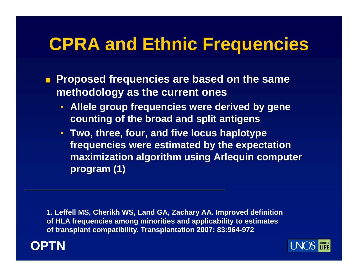### **CPRA and Ethnic Fre quencies**

- **Proposed frequencies are based on the same methodology as the current ones**
	- **Allele group frequencies were derived by gene counting of the broad and split antigens**
	- **Two, three, four, and five locus haplotype frequencies were estimated by the expectation maximization algorithm using Arlequin computer program (1)**

**1. Leffell MS, Cherikh WS, Land GA, Zachary AA. Improved definition of HLA frequencies among minorities and applicability to estimates of transplant compatibility. Transplantation 2007; 83:964-972** 



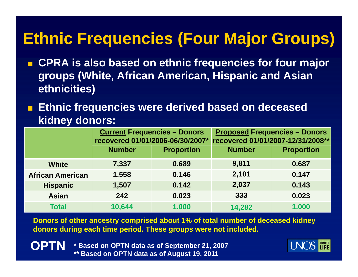#### **Ethnic Frequencies (Four Major Groups)**

- Т, **CPRA is also based on ethnic frequencies for four major groups (White, African American, Hispanic and Asian eth i iti ) th nicities**
- a. **Ethnic frequencies were derived based on deceased kidney donors:**

|                         | <b>Current Frequencies - Donors</b><br>recovered 01/01/2006-06/30/2007*<br><b>Number</b><br><b>Proportion</b> |       | <b>Proposed Frequencies - Donors</b><br>recovered 01/01/2007-12/31/2008** |                   |  |
|-------------------------|---------------------------------------------------------------------------------------------------------------|-------|---------------------------------------------------------------------------|-------------------|--|
|                         |                                                                                                               |       | <b>Number</b>                                                             | <b>Proportion</b> |  |
| <b>White</b>            | 7,337                                                                                                         | 0.689 | 9,811                                                                     | 0.687             |  |
| <b>African American</b> | 1,558                                                                                                         | 0.146 | 2,101                                                                     | 0.147             |  |
| <b>Hispanic</b>         | 1,507                                                                                                         | 0.142 | 2,037                                                                     | 0.143             |  |
| <b>Asian</b>            | 242                                                                                                           | 0.023 | 333                                                                       | 0.023             |  |
| <b>Total</b>            | 10,644                                                                                                        | 1.000 | 14,282                                                                    | 1.000             |  |

**Donors of other ancestry comprised about 1% of total number of deceased kidney donors during each time period. These groups were not included.** 

**OPTN \* Based on OPTN data as of September 21, 2007 \*\* Based on OPTN data as of August 19, 2011**

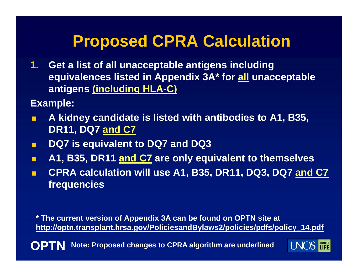#### **Proposed CPRA Calculation**

**1. Get a list of all unacceptable antigens including equivalences listed in Appendix 3A\* for all unacceptable antigens (i l di HLA (including -C)**

**Example:** 

- F. ■ A kidney candidate is listed with antibodies to A1, B35, **DR11, DQ7 and C7**
- п **DQ7 is equivalent to DQ7 and DQ3**
- $\blacksquare$ ■ A1, B35, DR11 and C7 are only equivalent to themselves
- п **CPRA calculation will use A1, B35, DR11, DQ3, DQ7 and C7 frequencies**

**\* The current version of Appendix 3A can be found on OPTN site at** <u>http://optn.transplant.hrsa.gov/PoliciesandBylaws2/policies/pdfs/policy\_14.pdf</u>

**TOPT Note: Proposed changes to CPRA algorithm are underlined**

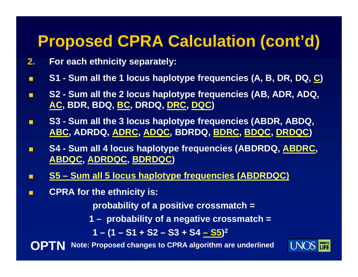#### **Proposed CPRA Calculation (cont'd)**

- **2.For each ethnicity separately:**
- П ■ S1 - Sum all the 1 locus haplotype frequencies (A, B, DR, DQ, <u>C</u>)
- $\blacksquare$  **S2 - Sum all the 2 locus haplotype frequencies (AB, ADR, ADQ, AC, BDR, BDQ, BC, DRDQ, DRC, DQC )**
- П **S3 - Sum all the 3 locus haplotype frequencies (ABDR ABDQ (ABDR, ABDQ, ABC, ADRDQ, ADRC, ADQC, BDRDQ, BDRC, BDQC, DRDQC )**
- П **S4 - Sum all 4 locus haplotype frequencies (ABDRDQ, ABDRC, ABDQC, ADRDQC, BDRDQC )**
- П **S5 – Sum all 5 locus haplotype frequencies (ABDRDQC)**
- П **CPRA for the ethnicity is:**

**probability of a positive crossmatch =**

- **1 – probability of a negative crossmatch =** 
	- **1 – (1 – S1 + S2 – S3 + S4 – S5 ) 2**





**Note: Proposed changes to CPRA algorithm are underlined**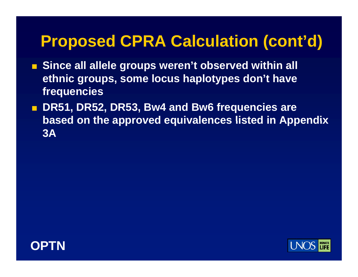#### **Proposed CPRA Calculation (cont'd)**

- Since all allele groups weren't observed within all **ethnic groups, some locus haplotypes don't have frequencies**
- **DR51, DR52, DR53, Bw4 and Bw6 frequencies are based on the approved equivalences listed in Appendix 3A**



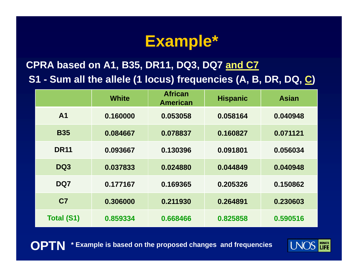#### **Example\***

**CPRA based on A1, B35, DR11, DQ3, DQ7 and C7 S1 - Sum all the allele (1 locus) frequencies (A, B, DR, DQ, C)**

|                   | <b>White</b> | <b>African</b><br><b>American</b> | <b>Hispanic</b> | <b>Asian</b> |  |
|-------------------|--------------|-----------------------------------|-----------------|--------------|--|
| A <sub>1</sub>    | 0.160000     | 0.053058                          | 0.058164        | 0.040948     |  |
| <b>B35</b>        | 0.084667     | 0.078837                          | 0.160827        | 0.071121     |  |
| <b>DR11</b>       | 0.093667     | 0.130396                          | 0.091801        | 0.056034     |  |
| DQ3               | 0.037833     | 0.024880                          | 0.044849        | 0.040948     |  |
| DQ7               | 0.177167     | 0.169365                          | 0.205326        | 0.150862     |  |
| C <sub>7</sub>    | 0.306000     | 0.211930                          | 0.264891        | 0.230603     |  |
| <b>Total (S1)</b> | 0.859334     | 0.668466                          | 0.825858        | 0.590516     |  |

**OPTN\* Example is based on the proposed changes and frequencies**

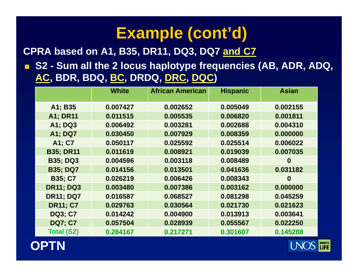#### **CPRA based on A1 B35 DR11 DQ3 DQ7 on A1, B35, DR11, DQ3, DQ7and C7**

 $\mathbf{H}$  **S2 - Sum all the 2 locus haplotype frequencies (AB, ADR, ADQ, AC, BDR, BDQ, BC, DRDQ, DRC, DQC )**

|                   | <b>White</b> | <b>African American</b><br><b>Hispanic</b> |          | <b>Asian</b> |
|-------------------|--------------|--------------------------------------------|----------|--------------|
| A1; B35           | 0.007427     | 0.002652                                   | 0.005049 | 0.002155     |
|                   |              |                                            |          |              |
| <b>A1; DR11</b>   | 0.011515     | 0.005535                                   | 0.006820 | 0.001811     |
| A1; DQ3           | 0.006492     | 0.003281                                   | 0.002688 | 0.004310     |
| <b>A1; DQ7</b>    | 0.030450     | 0.007929                                   | 0.008359 | 0.000000     |
| A1; C7            | 0.050117     | 0.025592                                   | 0.025514 | 0.006022     |
| <b>B35; DR11</b>  | 0.011619     | 0.008921                                   | 0.019039 | 0.007035     |
| <b>B35; DQ3</b>   | 0.004596     | 0.003118                                   | 0.008489 | $\bf{0}$     |
| <b>B35; DQ7</b>   | 0.014156     | 0.013501                                   | 0.041636 | 0.031182     |
| <b>B35; C7</b>    | 0.026219     | 0.006426                                   | 0.008343 | $\bf{0}$     |
| <b>DR11: DQ3</b>  | 0.003480     | 0.007386                                   | 0.003162 | 0.000000     |
| <b>DR11; DQ7</b>  | 0.016587     | 0.068527                                   | 0.081298 | 0.045259     |
| <b>DR11: C7</b>   | 0.029763     | 0.030564                                   | 0.021730 | 0.021623     |
| <b>DQ3; C7</b>    | 0.014242     | 0.004900                                   | 0.013913 | 0.003641     |
| <b>DQ7; C7</b>    | 0.057504     | 0.028939                                   | 0.055567 | 0.022250     |
| <b>Total (S2)</b> | 0.284167     | 0.217271                                   | 0.301607 | 0.145288     |



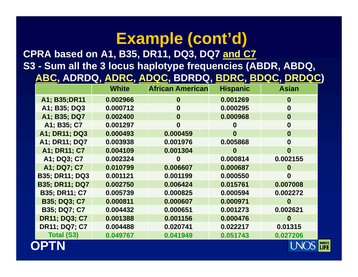#### **CPRA b d A1 B35 DR11 DQ3 DQ7 base d on A1, B35, DR11, DQ3, DQ7and C7 S3 - Sum all the 3 locus haplotype frequencies (ABDR, ABDQ, ABC, ADRDQ, ADRC, ADQC, BDRDQ, BDRC, BDQC, DRDQC )**

|                       | <b>White</b> | <b>African American</b> | <b>Hispanic</b> | <b>Asian</b>     |
|-----------------------|--------------|-------------------------|-----------------|------------------|
| A1; B35; DR11         | 0.002966     | $\bf{0}$                | 0.001269        | $\bf{0}$         |
| A1; B35; DQ3          | 0.000712     | $\bf{0}$                | 0.000295        | $\boldsymbol{0}$ |
| A1; B35; DQ7          | 0.002400     | $\bf{0}$                | 0.000968        | $\bf{0}$         |
| A1; B35; C7           | 0.001297     | $\bf{0}$                | $\bf{0}$        | $\bf{0}$         |
| <b>A1: DR11: DQ3</b>  | 0.000493     | 0.000459                | $\bf{0}$        | $\bf{0}$         |
| A1; DR11; DQ7         | 0.003938     | 0.001976                | 0.005868        | $\bf{0}$         |
| A1; DR11; C7          | 0.004109     | 0.001304                | $\bf{0}$        | $\bf{0}$         |
| A1; DQ3; C7           | 0.002324     | $\bf{0}$                | 0.000814        | 0.002155         |
| A1; DQ7; C7           | 0.010799     | 0.006607                | 0.000687        | $\bf{0}$         |
| <b>B35; DR11; DQ3</b> | 0.001121     | 0.001199                | 0.000550        | 0                |
| <b>B35; DR11; DQ7</b> | 0.002750     | 0.006424                | 0.015761        | 0.007008         |
| <b>B35; DR11; C7</b>  | 0.005739     | 0.000825                | 0.000594        | 0.002272         |
| <b>B35; DQ3; C7</b>   | 0.000811     | 0.000607                | 0.000971        | $\bf{0}$         |
| <b>B35; DQ7; C7</b>   | 0.004432     | 0.000651                | 0.001273        | 0.002621         |
| <b>DR11; DQ3; C7</b>  | 0.001388     | 0.001156                | 0.000476        | $\bf{0}$         |
| <b>DR11; DQ7; C7</b>  | 0.004488     | 0.020741                | 0.022217        | 0.01315          |
| <b>Total (S3)</b>     | 0.049767     | 0.041949                | 0.051743        | 0.027206         |
|                       |              |                         |                 |                  |

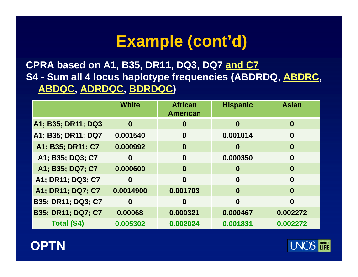**CPRA based on A1, B35, DR11, DQ3, DQ7 and C7 S4 - Sum all 4 locus haplotype frequencies (ABDRDQ, ABDRC, ABDQC, ADRDQC, BDRDQC )**

|                           | <b>White</b>     | <b>African</b><br><b>American</b> | <b>Hispanic</b> | <b>Asian</b>     |
|---------------------------|------------------|-----------------------------------|-----------------|------------------|
| A1; B35; DR11; DQ3        | $\bf{0}$         | $\boldsymbol{0}$                  | $\bf{0}$        | $\bf{0}$         |
| A1; B35; DR11; DQ7        | 0.001540         | $\boldsymbol{0}$                  | 0.001014        | $\boldsymbol{0}$ |
| A1; B35; DR11; C7         | 0.000992         | $\bf{0}$                          | $\bf{0}$        | $\bf{0}$         |
| A1; B35; DQ3; C7          | $\boldsymbol{0}$ | $\boldsymbol{0}$                  | 0.000350        | $\boldsymbol{0}$ |
| A1; B35; DQ7; C7          | 0.000600         | $\boldsymbol{0}$                  | $\bf{0}$        | $\bf{0}$         |
| A1; DR11; DQ3; C7         | $\boldsymbol{0}$ | $\bf{0}$                          | $\bf{0}$        | $\bf{0}$         |
| A1; DR11; DQ7; C7         | 0.0014900        | 0.001703                          | $\bf{0}$        | $\bf{0}$         |
| B35; DR11; DQ3; C7        | $\boldsymbol{0}$ | 0                                 | $\bf{0}$        | $\bf{0}$         |
| <b>B35; DR11; DQ7; C7</b> | 0.00068          | 0.000321                          | 0.000467        | 0.002272         |
| <b>Total (S4)</b>         | 0.005302         | 0.002024                          | 0.001831        | 0.002272         |



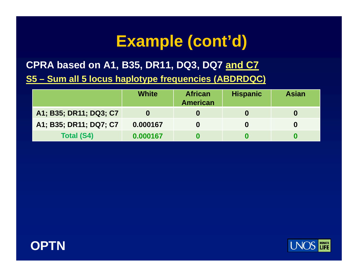**CPRA based on A1, B35, DR11, DQ3, DQ7 and C7**

**S5 – Sum all 5 locus haplotype frequencies (ABDRDQC)**

|                        | <b>White</b> | <b>African</b><br><b>American</b> | <b>Hispanic</b> | <b>Asian</b> |
|------------------------|--------------|-----------------------------------|-----------------|--------------|
| A1; B35; DR11; DQ3; C7 |              |                                   | O               |              |
| A1; B35; DR11; DQ7; C7 | 0.000167     |                                   |                 |              |
| <b>Total (S4)</b>      | 0.000167     |                                   |                 |              |



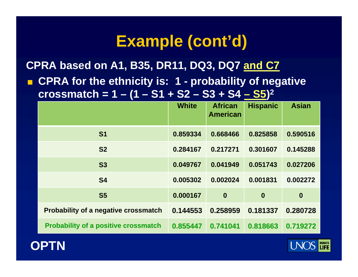**CPRA based on A1, B35, DR11, DQ3, DQ7 and C7**

 $\blacksquare$  $\blacksquare$  **CPRA for the ethnicity is: 1 - probability of negative crossmatch = 1 – (1 – S1 + S2 – S3 + S4 – S5 ) 2**

|                                             | <b>White</b> | <b>African</b><br><b>American</b> | <b>Hispanic</b>  | <b>Asian</b> |
|---------------------------------------------|--------------|-----------------------------------|------------------|--------------|
|                                             |              |                                   |                  |              |
| S <sub>1</sub>                              | 0.859334     | 0.668466                          | 0.825858         | 0.590516     |
| S <sub>2</sub>                              | 0.284167     | 0.217271                          | 0.301607         | 0.145288     |
| <b>S3</b>                                   | 0.049767     | 0.041949                          | 0.051743         | 0.027206     |
| <b>S4</b>                                   | 0.005302     | 0.002024                          | 0.001831         | 0.002272     |
| <b>S5</b>                                   | 0.000167     | $\boldsymbol{0}$                  | $\boldsymbol{0}$ | $\bf{0}$     |
| <b>Probability of a negative crossmatch</b> | 0.144553     | 0.258959                          | 0.181337         | 0.280728     |
| <b>Probability of a positive crossmatch</b> | 0.855447     | 0.741041                          | 0.818663         | 0.719272     |



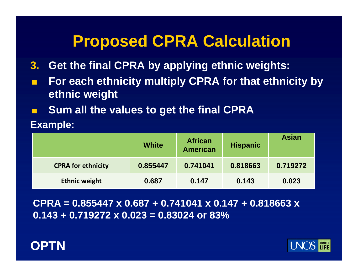#### **Proposed CPRA Calculation**

- **3. Get the final CPRA by applying ethnic weights:**
- F. **For each ethnicity multiply CPRA for that ethnicity by ethnic weight**
- F. **Sum all the values to get the final CPRA**

**E l xamp e:** 

|                           | <b>White</b> | <b>African</b><br><b>American</b> | <b>Hispanic</b> | <b>Asian</b> |
|---------------------------|--------------|-----------------------------------|-----------------|--------------|
| <b>CPRA for ethnicity</b> | 0.855447     | 0.741041                          | 0.818663        | 0.719272     |
| <b>Ethnic weight</b>      | 0.687        | 0.147                             | 0.143           | 0.023        |

**CPRA = 0.855447 x 0.687 + 0.741041 x 0.147 + 0.818663 x 0.143 + 0.719272 x 0.023 = 0.83024 or 83%**